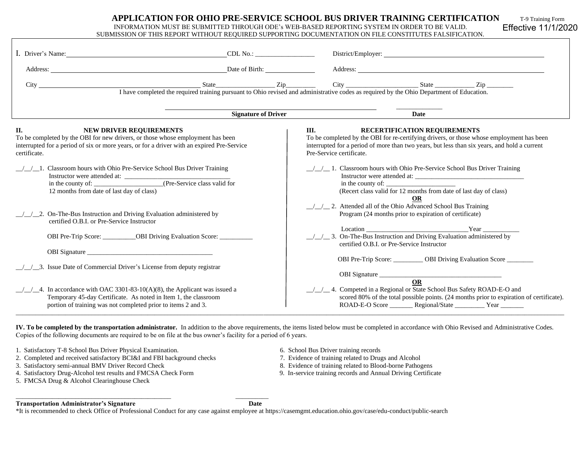| APPLICATION FOR OHIO PRE-SERVICE SCHOOL BUS DRIVER TRAINING CERTIFICATION                    | T-9 Training Form |
|----------------------------------------------------------------------------------------------|-------------------|
| INFORMATION MUST BE SUBMITTED THROUGH ODE's WEB-BASED REPORTING SYSTEM IN ORDER TO BE VALID. | Effective 11/1/2  |

## SUBMISSION OF THIS REPORT WITHOUT REQUIRED SUPPORTING DOCUMENTATION ON FILE CONSTITUTES FALSIFICATION.

Effective 11/1/2020

| I. Driver's Name:                                                                                                                                                                                                                     | $CDL$ No.: $\qquad \qquad$ |                                                                                                                                                                                                                                                            |
|---------------------------------------------------------------------------------------------------------------------------------------------------------------------------------------------------------------------------------------|----------------------------|------------------------------------------------------------------------------------------------------------------------------------------------------------------------------------------------------------------------------------------------------------|
| Address: Date of Birth:                                                                                                                                                                                                               |                            | Address: <u>New York and the set of the set of the set of the set of the set of the set of the set of the set of the set of the set of the set of the set of the set of the set of the set of the set of the set of the set of t</u>                       |
| City                                                                                                                                                                                                                                  | $State$ $Zip$              | $\frac{\text{State}}{\text{I} \text{have completed the required training pursuit to Ohio revised and administrative codes as required by the Ohio Department of Education.}}$                                                                              |
|                                                                                                                                                                                                                                       | <b>Signature of Driver</b> | Date                                                                                                                                                                                                                                                       |
| II.<br><b>NEW DRIVER REQUIREMENTS</b><br>To be completed by the OBI for new drivers, or those whose employment has been<br>interrupted for a period of six or more years, or for a driver with an expired Pre-Service<br>certificate. |                            | RECERTIFICATION REQUIREMENTS<br>Ш.<br>To be completed by the OBI for re-certifying drivers, or those whose employment has been<br>interrupted for a period of more than two years, but less than six years, and hold a current<br>Pre-Service certificate. |
| Classroom hours with Ohio Pre-Service School Bus Driver Training<br>12 months from date of last day of class)                                                                                                                         |                            | $\frac{1}{2}$ 1. Classroom hours with Ohio Pre-Service School Bus Driver Training<br>(Recert class valid for 12 months from date of last day of class)<br>OR                                                                                               |
| _2. On-The-Bus Instruction and Driving Evaluation administered by<br>certified O.B.I. or Pre-Service Instructor                                                                                                                       |                            | $\frac{1}{2}$ 2. Attended all of the Ohio Advanced School Bus Training<br>Program (24 months prior to expiration of certificate)<br>$\frac{1}{2}$ / $\frac{1}{2}$ 3. On-The-Bus Instruction and Driving Evaluation administered by                         |
| OBI Pre-Trip Score: ___________OBI Driving Evaluation Score: ____________________                                                                                                                                                     |                            | certified O.B.I. or Pre-Service Instructor<br>OBI Pre-Trip Score: _________ OBI Driving Evaluation Score _______                                                                                                                                           |
| _3. Issue Date of Commercial Driver's License from deputy registrar                                                                                                                                                                   |                            | OBI Signature <u>OR</u>                                                                                                                                                                                                                                    |
| $\pm$ 4. In accordance with OAC 3301-83-10(A)(8), the Applicant was issued a<br>Temporary 45-day Certificate. As noted in Item 1, the classroom<br>portion of training was not completed prior to items 2 and 3.                      |                            | / / 4. Competed in a Regional or State School Bus Safety ROAD-E-O and<br>scored 80% of the total possible points. (24 months prior to expiration of certificate).<br>ROAD-E-O Score _________ Regional/State __________ Year ________                      |

**IV. To be completed by the transportation administrator.** In addition to the above requirements, the items listed below must be completed in accordance with Ohio Revised and Administrative Codes. Copies of the following documents are required to be on file at the bus owner's facility for a period of 6 years.

1. Satisfactory T-8 School Bus Driver Physical Examination. 6. School Bus Driver training records

2. Completed and received satisfactory BCI&I and FBI background checks 7. Evidence of training related to Drugs and Alcohol 3. Satisfactory semi-annual BMV Driver Record Check 8. Evidence of training related to Blood-borne

\_\_\_\_\_\_\_\_\_\_\_\_\_\_\_\_\_\_\_\_\_\_\_\_\_\_\_\_\_\_\_\_\_\_\_\_\_\_\_\_\_\_\_\_\_\_\_ \_\_\_\_\_\_\_\_\_\_

- 
- 4. Satisfactory Drug-Alcohol test results and FMCSA Check Form 9. In-service training records and Annual Driving Certificate
- 5. FMCSA Drug & Alcohol Clearinghouse Check
- 
- 
- 8. Evidence of training related to Blood-borne Pathogens
- 

## **Transportation Administrator's Signature Date**

\*It is recommended to check Office of Professional Conduct for any case against employee at https://casemgmt.education.ohio.gov/case/edu-conduct/public-search